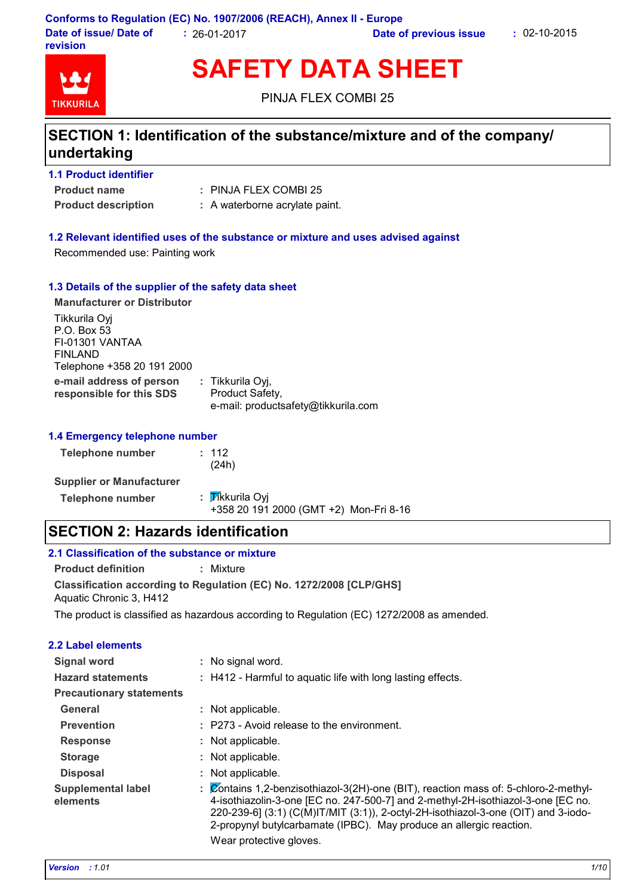

# **SAFETY DATA SHEET**

PINJA FLEX COMBI 25

# **SECTION 1: Identification of the substance/mixture and of the company/ undertaking**

| <b>1.1 Product identifier</b> |                                |
|-------------------------------|--------------------------------|
| <b>Product name</b>           | $:$ PINJA FLEX COMBI 25        |
| <b>Product description</b>    | : A waterborne acrylate paint. |

#### **1.2 Relevant identified uses of the substance or mixture and uses advised against**

Recommended use: Painting work

#### **1.3 Details of the supplier of the safety data sheet**

| <b>Manufacturer or Distributor</b>                                                       |                                                                            |
|------------------------------------------------------------------------------------------|----------------------------------------------------------------------------|
| Tikkurila Oyj<br>P.O. Box 53<br>FI-01301 VANTAA<br>FINLAND<br>Telephone +358 20 191 2000 |                                                                            |
| e-mail address of person<br>responsible for this SDS                                     | : Tikkurila Oyj,<br>Product Safety,<br>e-mail: productsafety@tikkurila.com |

#### **1.4 Emergency telephone number**

| Telephone number                | $\pm$ 112<br>(24h)                                        |
|---------------------------------|-----------------------------------------------------------|
| <b>Supplier or Manufacturer</b> |                                                           |
| Telephone number                | : Tikkurila Oyi<br>+358 20 191 2000 (GMT +2) Mon-Fri 8-16 |

## **SECTION 2: Hazards identification**

| 2.1 Classification of the substance or mixture |                                                                                           |
|------------------------------------------------|-------------------------------------------------------------------------------------------|
| <b>Product definition</b>                      | : Mixture                                                                                 |
| Aquatic Chronic 3, H412                        | Classification according to Regulation (EC) No. 1272/2008 [CLP/GHS]                       |
|                                                | The product is classified as hazardous according to Regulation (EC) 1272/2008 as amended. |

#### **2.2 Label elements**

| Signal word                           | : No signal word.                                                                                                                                                                                                                                                                                                                    |
|---------------------------------------|--------------------------------------------------------------------------------------------------------------------------------------------------------------------------------------------------------------------------------------------------------------------------------------------------------------------------------------|
| <b>Hazard statements</b>              | : H412 - Harmful to aquatic life with long lasting effects.                                                                                                                                                                                                                                                                          |
| <b>Precautionary statements</b>       |                                                                                                                                                                                                                                                                                                                                      |
| General                               | : Not applicable.                                                                                                                                                                                                                                                                                                                    |
| <b>Prevention</b>                     | : P273 - Avoid release to the environment.                                                                                                                                                                                                                                                                                           |
| <b>Response</b>                       | : Not applicable.                                                                                                                                                                                                                                                                                                                    |
| <b>Storage</b>                        | : Not applicable.                                                                                                                                                                                                                                                                                                                    |
| <b>Disposal</b>                       | : Not applicable.                                                                                                                                                                                                                                                                                                                    |
| <b>Supplemental label</b><br>elements | : Contains 1,2-benzisothiazol-3(2H)-one (BIT), reaction mass of: 5-chloro-2-methyl-<br>4-isothiazolin-3-one [EC no. 247-500-7] and 2-methyl-2H-isothiazol-3-one [EC no.<br>220-239-6] (3:1) (C(M)IT/MIT (3:1)), 2-octyl-2H-isothiazol-3-one (OIT) and 3-iodo-<br>2-propynyl butylcarbamate (IPBC). May produce an allergic reaction. |
|                                       | Wear protective gloves.                                                                                                                                                                                                                                                                                                              |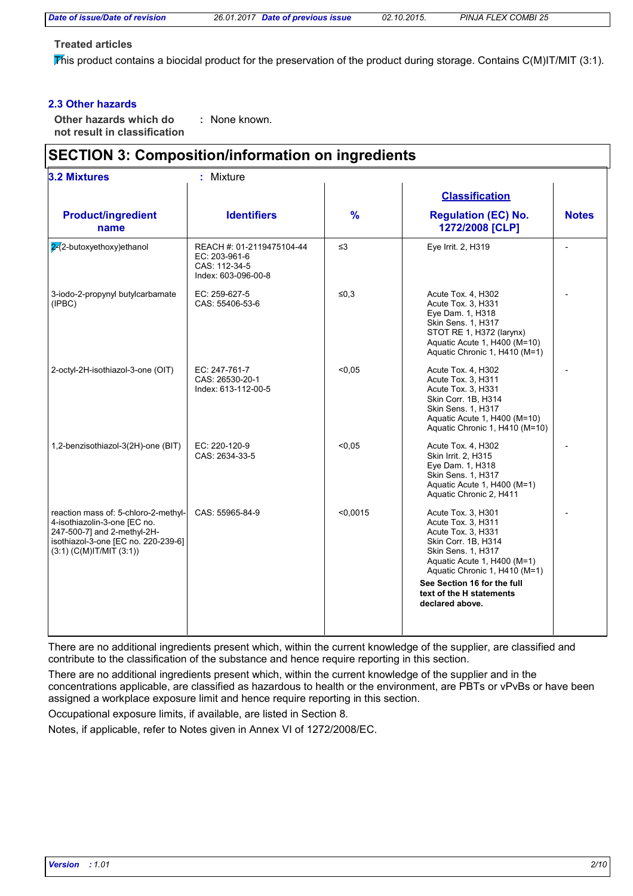#### **Treated articles**

This product contains a biocidal product for the preservation of the product during storage. Contains C(M)IT/MIT (3:1).

#### **2.3 Other hazards**

**Other hazards which do : not result in classification** : None known.

# **SECTION 3: Composition/information on ingredients**

| <b>3.2 Mixtures</b><br>: Mixture                                                                                                                                            |                                                                                    |               |                                                                                                                                                                                                                                                           |              |  |
|-----------------------------------------------------------------------------------------------------------------------------------------------------------------------------|------------------------------------------------------------------------------------|---------------|-----------------------------------------------------------------------------------------------------------------------------------------------------------------------------------------------------------------------------------------------------------|--------------|--|
|                                                                                                                                                                             |                                                                                    |               | <b>Classification</b>                                                                                                                                                                                                                                     |              |  |
| <b>Product/ingredient</b><br>name                                                                                                                                           | <b>Identifiers</b>                                                                 | $\frac{9}{6}$ | <b>Regulation (EC) No.</b><br>1272/2008 [CLP]                                                                                                                                                                                                             | <b>Notes</b> |  |
| $\sqrt{2}$ -butoxyethoxy)ethanol                                                                                                                                            | REACH #: 01-2119475104-44<br>EC: 203-961-6<br>CAS: 112-34-5<br>Index: 603-096-00-8 | $\leq$ 3      | Eye Irrit. 2, H319                                                                                                                                                                                                                                        |              |  |
| 3-iodo-2-propynyl butylcarbamate<br>(IPBC)                                                                                                                                  | EC: 259-627-5<br>CAS: 55406-53-6                                                   | $≤0,3$        | Acute Tox. 4, H302<br>Acute Tox. 3. H331<br>Eye Dam. 1, H318<br><b>Skin Sens. 1, H317</b><br>STOT RE 1, H372 (larynx)<br>Aquatic Acute 1, H400 (M=10)<br>Aquatic Chronic 1, H410 (M=1)                                                                    |              |  |
| 2-octyl-2H-isothiazol-3-one (OIT)                                                                                                                                           | EC: 247-761-7<br>CAS: 26530-20-1<br>Index: 613-112-00-5                            | < 0.05        | Acute Tox. 4, H302<br>Acute Tox. 3, H311<br>Acute Tox. 3, H331<br>Skin Corr. 1B. H314<br>Skin Sens. 1, H317<br>Aquatic Acute 1, H400 (M=10)<br>Aquatic Chronic 1, H410 (M=10)                                                                             |              |  |
| 1,2-benzisothiazol-3(2H)-one (BIT)                                                                                                                                          | EC: 220-120-9<br>CAS: 2634-33-5                                                    | < 0.05        | Acute Tox. 4, H302<br>Skin Irrit. 2, H315<br>Eye Dam. 1, H318<br>Skin Sens. 1, H317<br>Aquatic Acute 1, H400 (M=1)<br>Aquatic Chronic 2, H411                                                                                                             |              |  |
| reaction mass of: 5-chloro-2-methyl-<br>4-isothiazolin-3-one [EC no.<br>247-500-7] and 2-methyl-2H-<br>isothiazol-3-one [EC no. 220-239-6]<br>$(3:1)$ (C(M)IT/MIT $(3:1)$ ) | CAS: 55965-84-9                                                                    | < 0.0015      | Acute Tox. 3, H301<br>Acute Tox. 3, H311<br>Acute Tox. 3, H331<br>Skin Corr. 1B, H314<br>Skin Sens. 1, H317<br>Aquatic Acute 1, H400 (M=1)<br>Aquatic Chronic 1, H410 (M=1)<br>See Section 16 for the full<br>text of the H statements<br>declared above. |              |  |

There are no additional ingredients present which, within the current knowledge of the supplier, are classified and contribute to the classification of the substance and hence require reporting in this section.

There are no additional ingredients present which, within the current knowledge of the supplier and in the concentrations applicable, are classified as hazardous to health or the environment, are PBTs or vPvBs or have been assigned a workplace exposure limit and hence require reporting in this section.

Occupational exposure limits, if available, are listed in Section 8.

Notes, if applicable, refer to Notes given in Annex VI of 1272/2008/EC.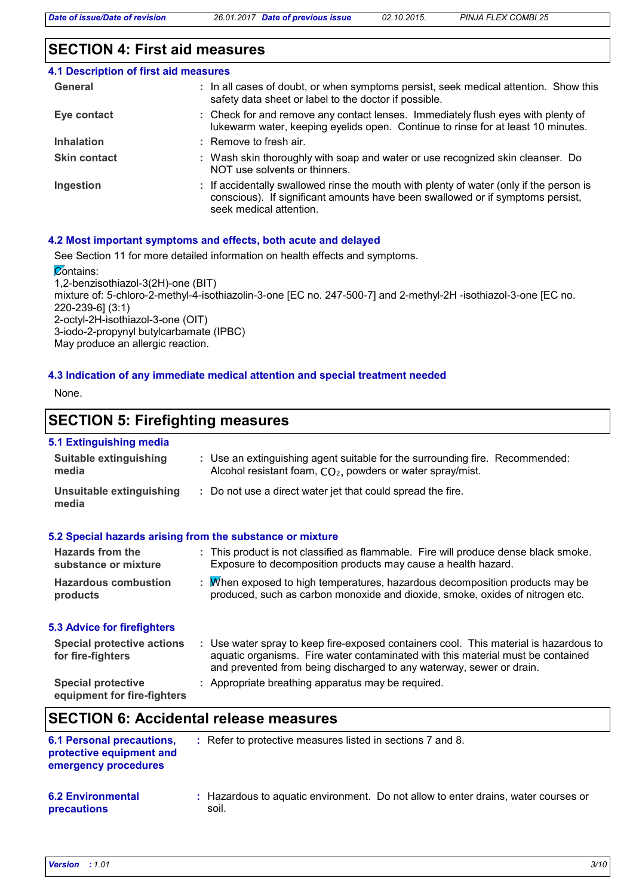#### **SECTION 4: First aid measures**

| <b>4.1 Description of first aid measures</b> |                                                                                                                                                                                                      |
|----------------------------------------------|------------------------------------------------------------------------------------------------------------------------------------------------------------------------------------------------------|
| General                                      | : In all cases of doubt, or when symptoms persist, seek medical attention. Show this<br>safety data sheet or label to the doctor if possible.                                                        |
| Eye contact                                  | : Check for and remove any contact lenses. Immediately flush eyes with plenty of<br>lukewarm water, keeping eyelids open. Continue to rinse for at least 10 minutes.                                 |
| <b>Inhalation</b>                            | $:$ Remove to fresh air.                                                                                                                                                                             |
| <b>Skin contact</b>                          | : Wash skin thoroughly with soap and water or use recognized skin cleanser. Do<br>NOT use solvents or thinners.                                                                                      |
| Ingestion                                    | : If accidentally swallowed rinse the mouth with plenty of water (only if the person is<br>conscious). If significant amounts have been swallowed or if symptoms persist,<br>seek medical attention. |

#### **4.2 Most important symptoms and effects, both acute and delayed**

See Section 11 for more detailed information on health effects and symptoms.

**Zontains:** 1,2-benzisothiazol-3(2H)-one (BIT) mixture of: 5-chloro-2-methyl-4-isothiazolin-3-one [EC no. 247-500-7] and 2-methyl-2H -isothiazol-3-one [EC no. 220-239-6] (3:1) 2-octyl-2H-isothiazol-3-one (OIT) 3-iodo-2-propynyl butylcarbamate (IPBC) May produce an allergic reaction.

#### **4.3 Indication of any immediate medical attention and special treatment needed**

None.

## **SECTION 5: Firefighting measures**

#### **5.1 Extinguishing media**

| <b>Suitable extinguishing</b><br>media                 | : Use an extinguishing agent suitable for the surrounding fire. Recommended:<br>Alcohol resistant foam, CO <sub>2</sub> , powders or water spray/mist.                                                                                           |
|--------------------------------------------------------|--------------------------------------------------------------------------------------------------------------------------------------------------------------------------------------------------------------------------------------------------|
| Unsuitable extinguishing<br>media                      | : Do not use a direct water jet that could spread the fire.                                                                                                                                                                                      |
|                                                        | 5.2 Special hazards arising from the substance or mixture                                                                                                                                                                                        |
| Hazards from the<br>substance or mixture               | : This product is not classified as flammable. Fire will produce dense black smoke.<br>Exposure to decomposition products may cause a health hazard.                                                                                             |
| <b>Hazardous combustion</b><br>products                | : M/hen exposed to high temperatures, hazardous decomposition products may be<br>produced, such as carbon monoxide and dioxide, smoke, oxides of nitrogen etc.                                                                                   |
| <b>5.3 Advice for firefighters</b>                     |                                                                                                                                                                                                                                                  |
| <b>Special protective actions</b><br>for fire-fighters | : Use water spray to keep fire-exposed containers cool. This material is hazardous to<br>aquatic organisms. Fire water contaminated with this material must be contained<br>and prevented from being discharged to any waterway, sewer or drain. |
| <b>Special protective</b>                              | : Appropriate breathing apparatus may be required.                                                                                                                                                                                               |

**equipment for fire-fighters**

## **SECTION 6: Accidental release measures**

soil.

| <b>6.1 Personal precautions,</b><br>protective equipment and<br>emergency procedures | : Refer to protective measures listed in sections 7 and 8.                         |
|--------------------------------------------------------------------------------------|------------------------------------------------------------------------------------|
| <b>6.2 Environmental</b>                                                             | : Hazardous to aguatic environment. Do not allow to enter drains, water courses or |

**precautions**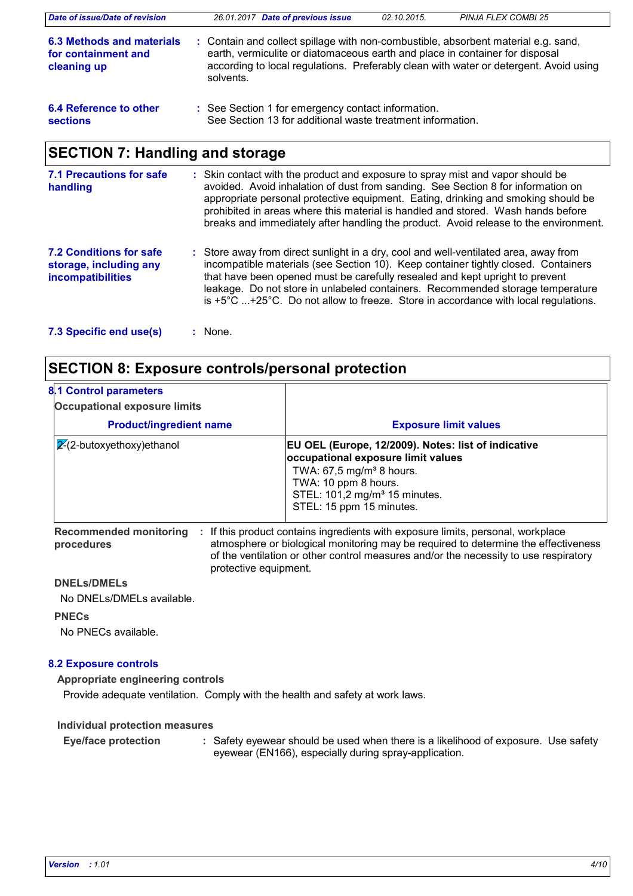| Date of issue/Date of revision                                  | 26.01.2017 Date of previous issue<br>02.10.2015.<br><b>PINJA FLEX COMBI 25</b>                                                                                                                                                                                           |
|-----------------------------------------------------------------|--------------------------------------------------------------------------------------------------------------------------------------------------------------------------------------------------------------------------------------------------------------------------|
| 6.3 Methods and materials<br>for containment and<br>cleaning up | : Contain and collect spillage with non-combustible, absorbent material e.g. sand,<br>earth, vermiculite or diatomaceous earth and place in container for disposal<br>according to local regulations. Preferably clean with water or detergent. Avoid using<br>solvents. |
| 6.4 Reference to other<br><b>sections</b>                       | : See Section 1 for emergency contact information.<br>See Section 13 for additional waste treatment information.                                                                                                                                                         |
| <b>SECTION 7: Handling and storage</b>                          |                                                                                                                                                                                                                                                                          |
| <b>7.1 Precautions for safe</b><br>handling                     | : Skin contact with the product and exposure to spray mist and vapor should be<br>avoided. Avoid inhalation of dust from sanding. See Section 8 for information on<br>appropriate personal protective equipment. Eating, drinking and smoking should be                  |

| <b>7.2 Conditions for safe</b><br>storage, including any<br><b>incompatibilities</b> | : Store away from direct sunlight in a dry, cool and well-ventilated area, away from<br>incompatible materials (see Section 10). Keep container tightly closed. Containers<br>that have been opened must be carefully resealed and kept upright to prevent<br>leakage. Do not store in unlabeled containers. Recommended storage temperature<br>is $+5^{\circ}$ C $+25^{\circ}$ C. Do not allow to freeze. Store in accordance with local regulations. |
|--------------------------------------------------------------------------------------|--------------------------------------------------------------------------------------------------------------------------------------------------------------------------------------------------------------------------------------------------------------------------------------------------------------------------------------------------------------------------------------------------------------------------------------------------------|
|--------------------------------------------------------------------------------------|--------------------------------------------------------------------------------------------------------------------------------------------------------------------------------------------------------------------------------------------------------------------------------------------------------------------------------------------------------------------------------------------------------------------------------------------------------|

prohibited in areas where this material is handled and stored. Wash hands before breaks and immediately after handling the product. Avoid release to the environment.

### **SECTION 8: Exposure controls/personal protection**

| 8.1 Control parameters<br><b>Occupational exposure limits</b> |                                                                                                                                                                                                                                      |
|---------------------------------------------------------------|--------------------------------------------------------------------------------------------------------------------------------------------------------------------------------------------------------------------------------------|
| <b>Product/ingredient name</b>                                | <b>Exposure limit values</b>                                                                                                                                                                                                         |
| $ 2(2-butoxyethoxy)$ ethanol                                  | EU OEL (Europe, 12/2009). Notes: list of indicative<br>occupational exposure limit values<br>TWA: $67,5$ mg/m <sup>3</sup> 8 hours.<br>TWA: 10 ppm 8 hours.<br>STEL: 101,2 mg/m <sup>3</sup> 15 minutes.<br>STEL: 15 ppm 15 minutes. |

**Recommended monitoring procedures** : If this product contains ingredients with exposure limits, personal, workplace atmosphere or biological monitoring may be required to determine the effectiveness of the ventilation or other control measures and/or the necessity to use respiratory protective equipment.

#### **DNELs/DMELs**

No DNELs/DMELs available.

#### **PNECs**

No PNECs available.

#### **8.2 Exposure controls**

**Appropriate engineering controls**

Provide adequate ventilation. Comply with the health and safety at work laws.

**Individual protection measures**

Safety eyewear should be used when there is a likelihood of exposure. Use safety eyewear (EN166), especially during spray-application. **Eye/face protection :**

**<sup>7.3</sup> Specific end use(s) :**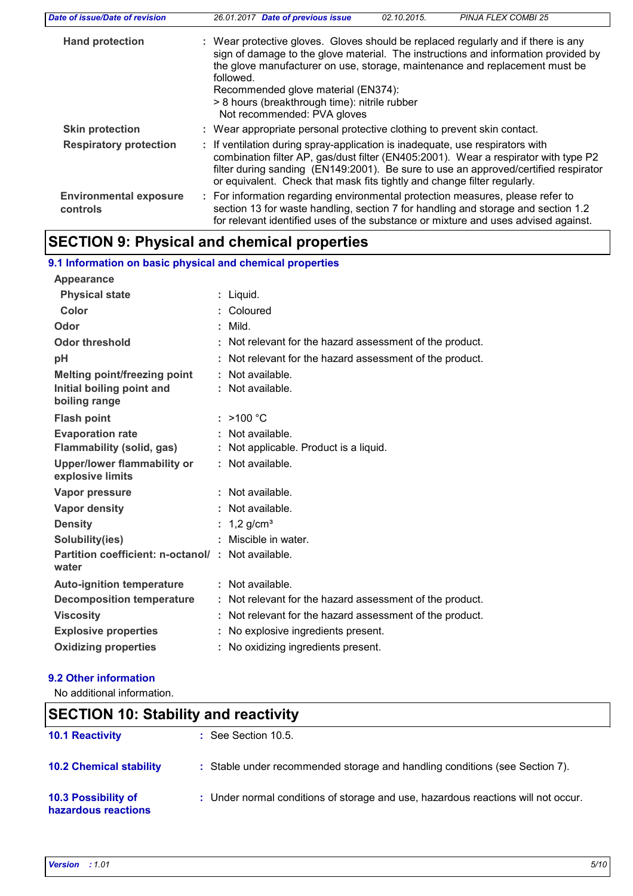| Date of issue/Date of revision            | 26.01.2017 Date of previous issue<br><b>PINJA FLEX COMBI 25</b><br>02.10.2015.                                                                                                                                                                                                                                                                                                             |
|-------------------------------------------|--------------------------------------------------------------------------------------------------------------------------------------------------------------------------------------------------------------------------------------------------------------------------------------------------------------------------------------------------------------------------------------------|
| <b>Hand protection</b>                    | : Wear protective gloves. Gloves should be replaced regularly and if there is any<br>sign of damage to the glove material. The instructions and information provided by<br>the glove manufacturer on use, storage, maintenance and replacement must be<br>followed.<br>Recommended glove material (EN374):<br>> 8 hours (breakthrough time): nitrile rubber<br>Not recommended: PVA gloves |
| <b>Skin protection</b>                    | : Wear appropriate personal protective clothing to prevent skin contact.                                                                                                                                                                                                                                                                                                                   |
| <b>Respiratory protection</b>             | : If ventilation during spray-application is inadequate, use respirators with<br>combination filter AP, gas/dust filter (EN405:2001). Wear a respirator with type P2<br>filter during sanding (EN149:2001). Be sure to use an approved/certified respirator<br>or equivalent. Check that mask fits tightly and change filter regularly.                                                    |
| <b>Environmental exposure</b><br>controls | : For information regarding environmental protection measures, please refer to<br>section 13 for waste handling, section 7 for handling and storage and section 1.2<br>for relevant identified uses of the substance or mixture and uses advised against.                                                                                                                                  |

# **SECTION 9: Physical and chemical properties**

| 9.1 Information on basic physical and chemical properties  |                                                          |
|------------------------------------------------------------|----------------------------------------------------------|
| Appearance                                                 |                                                          |
| <b>Physical state</b>                                      | : Liquid.                                                |
| Color                                                      | : Coloured                                               |
| Odor                                                       | $:$ Mild.                                                |
| <b>Odor threshold</b>                                      | : Not relevant for the hazard assessment of the product. |
| pH                                                         | : Not relevant for the hazard assessment of the product. |
| <b>Melting point/freezing point</b>                        | : Not available.                                         |
| Initial boiling point and<br>boiling range                 | : Not available.                                         |
| <b>Flash point</b>                                         | : >100 °C                                                |
| <b>Evaporation rate</b>                                    | : Not available.                                         |
| Flammability (solid, gas)                                  | : Not applicable. Product is a liquid.                   |
| <b>Upper/lower flammability or</b><br>explosive limits     | : Not available.                                         |
| Vapor pressure                                             | : Not available.                                         |
| Vapor density                                              | : Not available.                                         |
| <b>Density</b>                                             | : $1,2$ g/cm <sup>3</sup>                                |
| Solubility(ies)                                            | : Miscible in water.                                     |
| Partition coefficient: n-octanol/: Not available.<br>water |                                                          |
| <b>Auto-ignition temperature</b>                           | : Not available.                                         |
| <b>Decomposition temperature</b>                           | : Not relevant for the hazard assessment of the product. |
| <b>Viscosity</b>                                           | : Not relevant for the hazard assessment of the product. |
| <b>Explosive properties</b>                                | : No explosive ingredients present.                      |
| <b>Oxidizing properties</b>                                | No oxidizing ingredients present.                        |
|                                                            |                                                          |

## **9.2 Other information**

No additional information.

| <b>SECTION 10: Stability and reactivity</b> |                                                                                   |  |
|---------------------------------------------|-----------------------------------------------------------------------------------|--|
| <b>10.1 Reactivity</b>                      | $\therefore$ See Section 10.5.                                                    |  |
| <b>10.2 Chemical stability</b>              | : Stable under recommended storage and handling conditions (see Section 7).       |  |
| 10.3 Possibility of<br>hazardous reactions  | : Under normal conditions of storage and use, hazardous reactions will not occur. |  |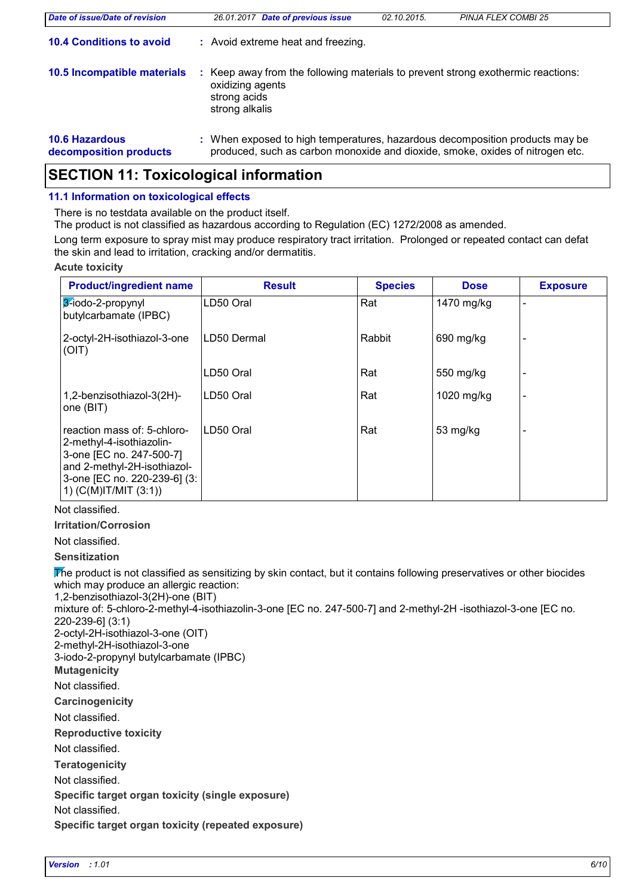| Date of issue/Date of revision                  | 26.01.2017 Date of previous issue                                                                                                                             | 02.10.2015. | <b>PINJA FLEX COMBI 25</b> |
|-------------------------------------------------|---------------------------------------------------------------------------------------------------------------------------------------------------------------|-------------|----------------------------|
| <b>10.4 Conditions to avoid</b>                 | : Avoid extreme heat and freezing.                                                                                                                            |             |                            |
| 10.5 Incompatible materials                     | Keep away from the following materials to prevent strong exothermic reactions:<br>oxidizing agents<br>strong acids<br>strong alkalis                          |             |                            |
| <b>10.6 Hazardous</b><br>decomposition products | : When exposed to high temperatures, hazardous decomposition products may be<br>produced, such as carbon monoxide and dioxide, smoke, oxides of nitrogen etc. |             |                            |

## **SECTION 11: Toxicological information**

#### **11.1 Information on toxicological effects**

There is no testdata available on the product itself.

The product is not classified as hazardous according to Regulation (EC) 1272/2008 as amended.

Long term exposure to spray mist may produce respiratory tract irritation. Prolonged or repeated contact can defat the skin and lead to irritation, cracking and/or dermatitis.

#### **Acute toxicity**

| <b>Product/ingredient name</b>                                                                                                                                                  | <b>Result</b> | <b>Species</b> | <b>Dose</b> | <b>Exposure</b> |
|---------------------------------------------------------------------------------------------------------------------------------------------------------------------------------|---------------|----------------|-------------|-----------------|
| 3-iodo-2-propynyl<br>butylcarbamate (IPBC)                                                                                                                                      | LD50 Oral     | Rat            | 1470 mg/kg  |                 |
| 2-octyl-2H-isothiazol-3-one<br>(OIT)                                                                                                                                            | LD50 Dermal   | Rabbit         | 690 mg/kg   |                 |
|                                                                                                                                                                                 | LD50 Oral     | Rat            | 550 mg/kg   |                 |
| 1,2-benzisothiazol-3(2H)-<br>one (BIT)                                                                                                                                          | LD50 Oral     | Rat            | 1020 mg/kg  |                 |
| reaction mass of: 5-chloro-<br>2-methyl-4-isothiazolin-<br>3-one [EC no. 247-500-7]<br>and 2-methyl-2H-isothiazol-<br>3-one [EC no. 220-239-6] (3:<br>1) $(C(M)$ IT/MIT $(3:1)$ | LD50 Oral     | Rat            | 53 mg/kg    |                 |

Not classified.

**Irritation/Corrosion**

Not classified.

**Sensitization**

The product is not classified as sensitizing by skin contact, but it contains following preservatives or other biocides which may produce an allergic reaction:

**Carcinogenicity Mutagenicity Teratogenicity Reproductive toxicity Specific target organ toxicity (single exposure) Specific target organ toxicity (repeated exposure)** Not classified. Not classified. Not classified. Not classified. 1,2-benzisothiazol-3(2H)-one (BIT) mixture of: 5-chloro-2-methyl-4-isothiazolin-3-one [EC no. 247-500-7] and 2-methyl-2H -isothiazol-3-one [EC no. 220-239-6] (3:1) 2-octyl-2H-isothiazol-3-one (OIT) 2-methyl-2H-isothiazol-3-one 3-iodo-2-propynyl butylcarbamate (IPBC) Not classified.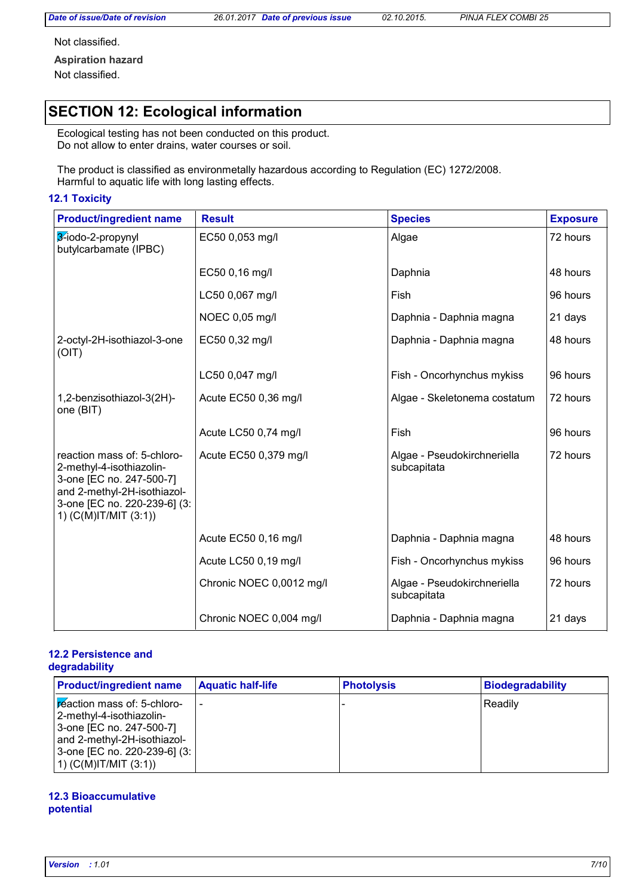*Date of issue/Date of revision 26.01.2017 Date of previous issue 02.10.2015. PINJA FLEX COMBI 25*

Not classified.

**Aspiration hazard** Not classified.

# **SECTION 12: Ecological information**

Ecological testing has not been conducted on this product. Do not allow to enter drains, water courses or soil.

The product is classified as environmetally hazardous according to Regulation (EC) 1272/2008. Harmful to aquatic life with long lasting effects.

#### **12.1 Toxicity**

| <b>Product/ingredient name</b>                                                                                                                                              | <b>Result</b>            | <b>Species</b>                             | <b>Exposure</b> |
|-----------------------------------------------------------------------------------------------------------------------------------------------------------------------------|--------------------------|--------------------------------------------|-----------------|
| 3-iodo-2-propynyl<br>butylcarbamate (IPBC)                                                                                                                                  | EC50 0,053 mg/l<br>Algae |                                            | 72 hours        |
|                                                                                                                                                                             | EC50 0,16 mg/l           | Daphnia                                    | 48 hours        |
|                                                                                                                                                                             | LC50 0,067 mg/l          | Fish                                       | 96 hours        |
|                                                                                                                                                                             | NOEC 0,05 mg/l           | Daphnia - Daphnia magna                    | 21 days         |
| 2-octyl-2H-isothiazol-3-one<br>(OIT)                                                                                                                                        | EC50 0,32 mg/l           | Daphnia - Daphnia magna                    | 48 hours        |
|                                                                                                                                                                             | LC50 0,047 mg/l          | Fish - Oncorhynchus mykiss                 | 96 hours        |
| 1,2-benzisothiazol-3(2H)-<br>one (BIT)                                                                                                                                      | Acute EC50 0,36 mg/l     | Algae - Skeletonema costatum               | 72 hours        |
|                                                                                                                                                                             | Acute LC50 0,74 mg/l     | Fish                                       | 96 hours        |
| reaction mass of: 5-chloro-<br>2-methyl-4-isothiazolin-<br>3-one [EC no. 247-500-7]<br>and 2-methyl-2H-isothiazol-<br>3-one [EC no. 220-239-6] (3:<br>1) (C(M)IT/MIT (3:1)) | Acute EC50 0,379 mg/l    | Algae - Pseudokirchneriella<br>subcapitata | 72 hours        |
|                                                                                                                                                                             | Acute EC50 0,16 mg/l     | Daphnia - Daphnia magna                    | 48 hours        |
|                                                                                                                                                                             | Acute LC50 0,19 mg/l     | Fish - Oncorhynchus mykiss                 | 96 hours        |
|                                                                                                                                                                             | Chronic NOEC 0,0012 mg/l | Algae - Pseudokirchneriella<br>subcapitata | 72 hours        |
|                                                                                                                                                                             | Chronic NOEC 0,004 mg/l  | Daphnia - Daphnia magna                    | 21 days         |

#### **12.2 Persistence and degradability**

| <b>Product/ingredient name</b>                                                                                                                                                | <b>Aquatic half-life</b> | <b>Photolysis</b> | <b>Biodegradability</b> |
|-------------------------------------------------------------------------------------------------------------------------------------------------------------------------------|--------------------------|-------------------|-------------------------|
| reaction mass of: 5-chloro-<br>2-methyl-4-isothiazolin-<br>3-one [EC no. 247-500-7]<br>and 2-methyl-2H-isothiazol-<br>3-one [EC no. 220-239-6] (3:<br>1) $(C(M)IT/MIT (3:1))$ | -                        |                   | Readily                 |

#### **12.3 Bioaccumulative potential**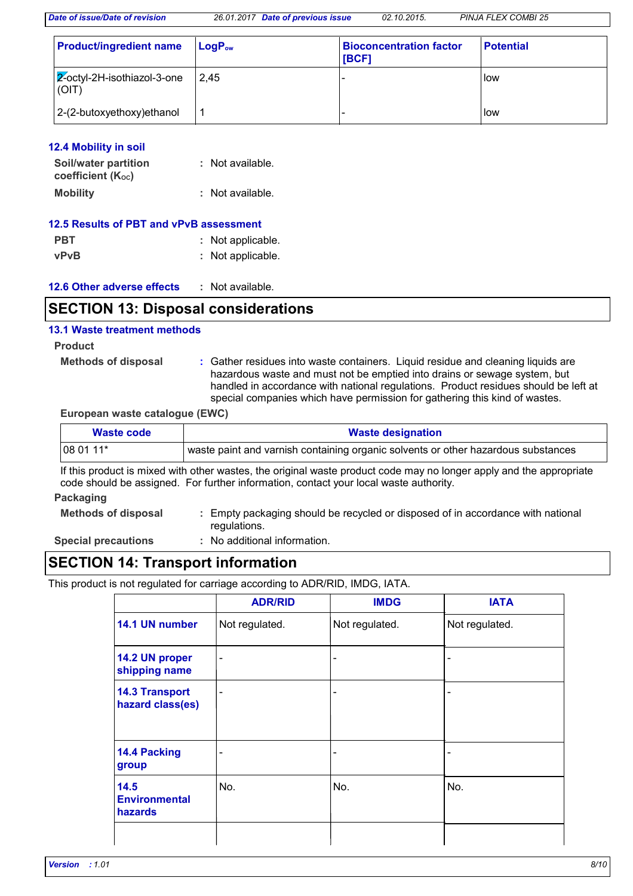| <b>Product/ingredient name</b>           | $LogP_{ow}$ | <b>Bioconcentration factor</b><br>[BCF] | <b>Potential</b> |
|------------------------------------------|-------------|-----------------------------------------|------------------|
| $ 2$ -octyl-2H-isothiazol-3-one<br>(OIT) | 2.45        |                                         | llow             |
| 2-(2-butoxyethoxy) ethanol               |             |                                         | <b>I</b> low     |

| <b>12.4 Mobility in soil</b> |  |  |  |
|------------------------------|--|--|--|
|                              |  |  |  |

| Soil/water partition           | : Not available. |
|--------------------------------|------------------|
| coefficient (K <sub>oc</sub> ) |                  |
| <b>Mobility</b>                | : Not available. |

| 12.5 Results of PBT and vPvB assessment |                   |  |
|-----------------------------------------|-------------------|--|
| <b>PBT</b>                              | : Not applicable. |  |
| <b>vPvB</b>                             | : Not applicable. |  |

| <b>12.6 Other adverse effects</b> | Not available. |
|-----------------------------------|----------------|
|-----------------------------------|----------------|

### **SECTION 13: Disposal considerations**

#### **13.1 Waste treatment methods**

#### **Product**

**Methods of disposal :**

Gather residues into waste containers. Liquid residue and cleaning liquids are hazardous waste and must not be emptied into drains or sewage system, but handled in accordance with national regulations. Product residues should be left at special companies which have permission for gathering this kind of wastes.

**European waste catalogue (EWC)**

| Waste code          | <b>Waste designation</b>                                                                                                                                                                                     |
|---------------------|--------------------------------------------------------------------------------------------------------------------------------------------------------------------------------------------------------------|
| 08 01 11*           | waste paint and varnish containing organic solvents or other hazardous substances                                                                                                                            |
|                     | If this product is mixed with other wastes, the original waste product code may no longer apply and the appropriate<br>code should be assigned. For further information, contact your local waste authority. |
| Packaging           |                                                                                                                                                                                                              |
| Mathada of dianonal | Empty poolsoging abould be required or disposed of in accordance with potional                                                                                                                               |

- **Methods of disposal :** Empty packaging should be recycled or disposed of in accordance with national regulations.
- **Special precautions :**
- : No additional information.

## **SECTION 14: Transport information**

This product is not regulated for carriage according to ADR/RID, IMDG, IATA.

|                                                | <b>ADR/RID</b> | <b>IMDG</b>                  | <b>IATA</b>    |
|------------------------------------------------|----------------|------------------------------|----------------|
| 14.1 UN number                                 | Not regulated. | Not regulated.               | Not regulated. |
| 14.2 UN proper<br>shipping name                |                | $\qquad \qquad \blacksquare$ |                |
| <b>14.3 Transport</b><br>hazard class(es)      |                | -                            |                |
| 14.4 Packing<br>group                          |                | -                            |                |
| 14.5<br><b>Environmental</b><br><b>hazards</b> | No.            | No.                          | No.            |
|                                                |                |                              |                |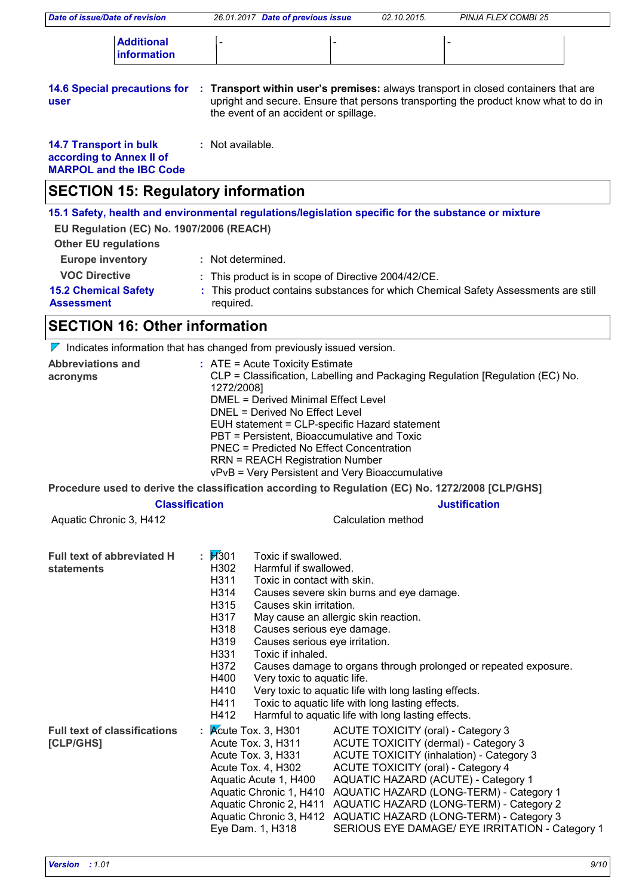| <b>Date of issue/Date of revision</b>                                                       | 26.01.2017 Date of previous issue                                                                                                                                                                                                                                                                                                                                                                                                                                                                                                                                                                                                                                         | 02.10.2015.                                                                                                      | <b>PINJA FLEX COMBI 25</b>                                                                                                                                                                                                                                                                                                                         |  |
|---------------------------------------------------------------------------------------------|---------------------------------------------------------------------------------------------------------------------------------------------------------------------------------------------------------------------------------------------------------------------------------------------------------------------------------------------------------------------------------------------------------------------------------------------------------------------------------------------------------------------------------------------------------------------------------------------------------------------------------------------------------------------------|------------------------------------------------------------------------------------------------------------------|----------------------------------------------------------------------------------------------------------------------------------------------------------------------------------------------------------------------------------------------------------------------------------------------------------------------------------------------------|--|
| <b>Additional</b><br>information                                                            |                                                                                                                                                                                                                                                                                                                                                                                                                                                                                                                                                                                                                                                                           |                                                                                                                  |                                                                                                                                                                                                                                                                                                                                                    |  |
| <b>14.6 Special precautions for</b><br>user                                                 | the event of an accident or spillage.                                                                                                                                                                                                                                                                                                                                                                                                                                                                                                                                                                                                                                     |                                                                                                                  | : Transport within user's premises: always transport in closed containers that are<br>upright and secure. Ensure that persons transporting the product know what to do in                                                                                                                                                                          |  |
| <b>14.7 Transport in bulk</b><br>according to Annex II of<br><b>MARPOL and the IBC Code</b> | : Not available.                                                                                                                                                                                                                                                                                                                                                                                                                                                                                                                                                                                                                                                          |                                                                                                                  |                                                                                                                                                                                                                                                                                                                                                    |  |
| <b>SECTION 15: Regulatory information</b>                                                   |                                                                                                                                                                                                                                                                                                                                                                                                                                                                                                                                                                                                                                                                           |                                                                                                                  |                                                                                                                                                                                                                                                                                                                                                    |  |
| EU Regulation (EC) No. 1907/2006 (REACH)<br><b>Other EU regulations</b>                     | 15.1 Safety, health and environmental regulations/legislation specific for the substance or mixture                                                                                                                                                                                                                                                                                                                                                                                                                                                                                                                                                                       |                                                                                                                  |                                                                                                                                                                                                                                                                                                                                                    |  |
| <b>Europe inventory</b>                                                                     | : Not determined.                                                                                                                                                                                                                                                                                                                                                                                                                                                                                                                                                                                                                                                         |                                                                                                                  |                                                                                                                                                                                                                                                                                                                                                    |  |
| <b>VOC Directive</b>                                                                        | : This product is in scope of Directive 2004/42/CE.                                                                                                                                                                                                                                                                                                                                                                                                                                                                                                                                                                                                                       |                                                                                                                  |                                                                                                                                                                                                                                                                                                                                                    |  |
| <b>15.2 Chemical Safety</b><br><b>Assessment</b>                                            | required.                                                                                                                                                                                                                                                                                                                                                                                                                                                                                                                                                                                                                                                                 |                                                                                                                  | : This product contains substances for which Chemical Safety Assessments are still                                                                                                                                                                                                                                                                 |  |
| <b>SECTION 16: Other information</b>                                                        |                                                                                                                                                                                                                                                                                                                                                                                                                                                                                                                                                                                                                                                                           |                                                                                                                  |                                                                                                                                                                                                                                                                                                                                                    |  |
|                                                                                             | $\nabla$ Indicates information that has changed from previously issued version.                                                                                                                                                                                                                                                                                                                                                                                                                                                                                                                                                                                           |                                                                                                                  |                                                                                                                                                                                                                                                                                                                                                    |  |
| acronyms                                                                                    | CLP = Classification, Labelling and Packaging Regulation [Regulation (EC) No.<br>1272/2008]<br><b>DMEL = Derived Minimal Effect Level</b><br>DNEL = Derived No Effect Level<br>EUH statement = CLP-specific Hazard statement<br>PBT = Persistent, Bioaccumulative and Toxic<br><b>PNEC = Predicted No Effect Concentration</b><br><b>RRN = REACH Registration Number</b><br>vPvB = Very Persistent and Very Bioaccumulative                                                                                                                                                                                                                                               |                                                                                                                  |                                                                                                                                                                                                                                                                                                                                                    |  |
|                                                                                             | Procedure used to derive the classification according to Regulation (EC) No. 1272/2008 [CLP/GHS]<br><b>Classification</b>                                                                                                                                                                                                                                                                                                                                                                                                                                                                                                                                                 |                                                                                                                  | <b>Justification</b>                                                                                                                                                                                                                                                                                                                               |  |
| Aquatic Chronic 3, H412                                                                     |                                                                                                                                                                                                                                                                                                                                                                                                                                                                                                                                                                                                                                                                           | Calculation method                                                                                               |                                                                                                                                                                                                                                                                                                                                                    |  |
| <b>Full text of abbreviated H</b><br><b>statements</b>                                      | : $1/301$<br>Toxic if swallowed.<br>H302<br>Harmful if swallowed.<br>H311<br>Toxic in contact with skin.<br>H314<br>Causes severe skin burns and eye damage.<br>H315<br>Causes skin irritation.<br>H317<br>May cause an allergic skin reaction.<br>H318<br>Causes serious eye damage.<br>H319<br>Causes serious eye irritation.<br>H331<br>Toxic if inhaled.<br>H372<br>Causes damage to organs through prolonged or repeated exposure.<br>H400<br>Very toxic to aquatic life.<br>H410<br>Very toxic to aquatic life with long lasting effects.<br>Toxic to aquatic life with long lasting effects.<br>H411<br>Harmful to aquatic life with long lasting effects.<br>H412 |                                                                                                                  |                                                                                                                                                                                                                                                                                                                                                    |  |
| <b>Full text of classifications</b><br>[CLP/GHS]                                            | Kcute Tox. 3, H301<br>Acute Tox. 3, H311<br>Acute Tox. 3, H331<br>Acute Tox. 4, H302<br>Aquatic Acute 1, H400<br>Eye Dam. 1, H318                                                                                                                                                                                                                                                                                                                                                                                                                                                                                                                                         | ACUTE TOXICITY (oral) - Category 3<br>ACUTE TOXICITY (dermal) - Category 3<br>ACUTE TOXICITY (oral) - Category 4 | <b>ACUTE TOXICITY (inhalation) - Category 3</b><br>AQUATIC HAZARD (ACUTE) - Category 1<br>Aquatic Chronic 1, H410 AQUATIC HAZARD (LONG-TERM) - Category 1<br>Aquatic Chronic 2, H411 AQUATIC HAZARD (LONG-TERM) - Category 2<br>Aquatic Chronic 3, H412 AQUATIC HAZARD (LONG-TERM) - Category 3<br>SERIOUS EYE DAMAGE/ EYE IRRITATION - Category 1 |  |